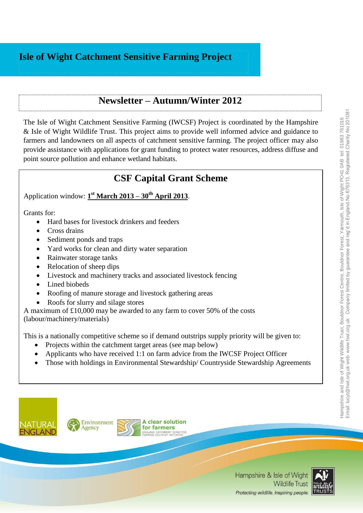# **Isle of Wight Catchment Sensitive Farming Project**

### **Newsletter – Autumn/Winter 2012**

The Isle of Wight Catchment Sensitive Farming (IWCSF) Project is coordinated by the [Hampshire](http://www.hwt.org.uk/)  [& Isle of Wight Wildlife Trust.](http://www.hwt.org.uk/) This project aims to provide well informed advice and guidance to farmers and landowners on all aspects of catchment sensitive farming. The project officer may also provide assistance with applications for grant funding to protect water resources, address diffuse and point source pollution and enhance wetland habitats.

# **CSF Capital Grant Scheme**

Application window: **1 st March 2013 – 30th April 2013**.

Grants for:

- Hard bases for livestock drinkers and feeders
- Cross drains
- Sediment ponds and traps
- Yard works for clean and dirty water separation
- Rainwater storage tanks
- Relocation of sheep dips
- Livestock and machinery tracks and associated livestock fencing
- Lined biobeds
- Roofing of manure storage and livestock gathering areas
- Roofs for slurry and silage stores

A maximum of £10,000 may be awarded to any farm to cover 50% of the costs (labour/machinery/materials)

This is a nationally competitive scheme so if demand outstrips supply priority will be given to:

- Projects within the catchment target areas (see map below)
- Applicants who have received 1:1 on farm advice from the IWCSF Project Officer
- Those with holdings in Environmental Stewardship/ Countryside Stewardship Agreements





**A clear solution** for farmers **AND CATCHMENT SENSITIVE**<br>ING DELIVERY INITIATIVE

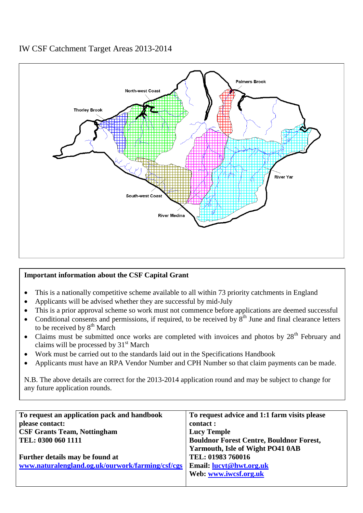### IW CSF Catchment Target Areas 2013-2014



#### **Important information about the CSF Capital Grant**

- This is a nationally competitive scheme available to all within 73 priority catchments in England
- Applicants will be advised whether they are successful by mid-July
- This is a prior approval scheme so work must not commence before applications are deemed successful
- Conditional consents and permissions, if required, to be received by  $8<sup>th</sup>$  June and final clearance letters to be received by  $8<sup>th</sup>$  March
- Claims must be submitted once works are completed with invoices and photos by  $28<sup>th</sup>$  February and claims will be processed by  $31<sup>st</sup>$  March
- Work must be carried out to the standards laid out in the Specifications Handbook
- Applicants must have an RPA Vendor Number and CPH Number so that claim payments can be made.

N.B. The above details are correct for the 2013-2014 application round and may be subject to change for any future application rounds.

| To request an application pack and handbook      | To request advice and 1:1 farm visits please    |
|--------------------------------------------------|-------------------------------------------------|
| please contact:                                  | contact :                                       |
| <b>CSF Grants Team, Nottingham</b>               | <b>Lucy Temple</b>                              |
| TEL: 0300 060 1111                               | <b>Bouldnor Forest Centre, Bouldnor Forest,</b> |
|                                                  | Yarmouth, Isle of Wight PO41 0AB                |
| Further details may be found at                  | TEL: 01983 760016                               |
| www.naturalengland.og.uk/ourwork/farming/csf/cgs | Email: lucyt@hwt.org.uk                         |
|                                                  | Web: www.iwcsf.org.uk                           |
|                                                  |                                                 |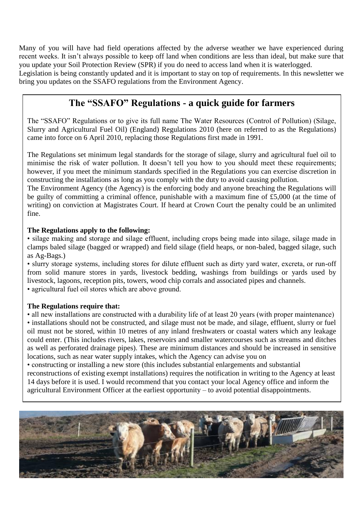Many of you will have had field operations affected by the adverse weather we have experienced during recent weeks. It isn't always possible to keep off land when conditions are less than ideal, but make sure that you update your Soil Protection Review (SPR) if you do need to access land when it is waterlogged.

Legislation is being constantly updated and it is important to stay on top of requirements. In this newsletter we bring you updates on the SSAFO regulations from the Environment Agency.

### **The "SSAFO" Regulations - a quick guide for farmers**

The "SSAFO" Regulations or to give its full name The Water Resources (Control of Pollution) (Silage, Slurry and Agricultural Fuel Oil) (England) Regulations 2010 (here on referred to as the Regulations) came into force on 6 April 2010, replacing those Regulations first made in 1991.

The Regulations set minimum legal standards for the storage of silage, slurry and agricultural fuel oil to minimise the risk of water pollution. It doesn't tell you how to you should meet these requirements; however, if you meet the minimum standards specified in the Regulations you can exercise discretion in constructing the installations as long as you comply with the duty to avoid causing pollution.

The Environment Agency (the Agency) is the enforcing body and anyone breaching the Regulations will be guilty of committing a criminal offence, punishable with a maximum fine of £5,000 (at the time of writing) on conviction at Magistrates Court. If heard at Crown Court the penalty could be an unlimited fine.

#### **The Regulations apply to the following:**

• silage making and storage and silage effluent, including crops being made into silage, silage made in clamps baled silage (bagged or wrapped) and field silage (field heaps, or non-baled, bagged silage, such as Ag-Bags.)

• slurry storage systems, including stores for dilute effluent such as dirty yard water, excreta, or run-off from solid manure stores in yards, livestock bedding, washings from buildings or yards used by livestock, lagoons, reception pits, towers, wood chip corrals and associated pipes and channels.

• agricultural fuel oil stores which are above ground.

#### **The Regulations require that:**

• all new installations are constructed with a durability life of at least 20 years (with proper maintenance) • installations should not be constructed, and silage must not be made, and silage, effluent, slurry or fuel oil must not be stored, within 10 metres of any inland freshwaters or coastal waters which any leakage could enter. (This includes rivers, lakes, reservoirs and smaller watercourses such as streams and ditches as well as perforated drainage pipes). These are minimum distances and should be increased in sensitive locations, such as near water supply intakes, which the Agency can advise you on

• constructing or installing a new store (this includes substantial enlargements and substantial reconstructions of existing exempt installations) requires the notification in writing to the Agency at least 14 days before it is used. I would recommend that you contact your local Agency office and inform the agricultural Environment Officer at the earliest opportunity – to avoid potential disappointments.

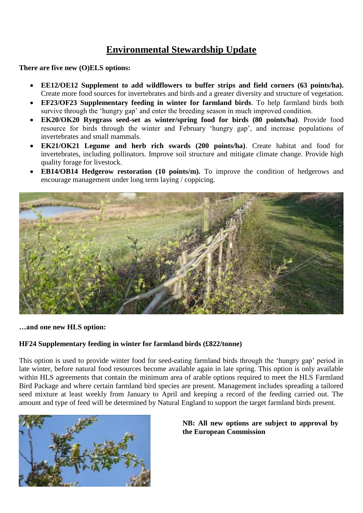# **Environmental Stewardship Update**

**There are five new (O)ELS options:**

- **EE12/OE12 Supplement to add wildflowers to buffer strips and field corners (63 points/ha).** Create more food sources for invertebrates and birds and a greater diversity and structure of vegetation.
- **EF23/OF23 Supplementary feeding in winter for farmland birds**. To help farmland birds both survive through the 'hungry gap' and enter the breeding season in much improved condition.
- **EK20/OK20 Ryegrass seed-set as winter/spring food for birds (80 points/ha)**. Provide food resource for birds through the winter and February 'hungry gap', and increase populations of invertebrates and small mammals.
- **EK21/OK21 Legume and herb rich swards (200 points/ha)**. Create habitat and food for invertebrates, including pollinators. Improve soil structure and mitigate climate change. Provide high quality forage for livestock.
- **EB14/OB14 Hedgerow restoration (10 points/m).** To improve the condition of hedgerows and encourage management under long term laying / coppicing.



**…and one new HLS option:**

#### **HF24 Supplementary feeding in winter for farmland birds (£822/tonne)**

This option is used to provide winter food for seed-eating farmland birds through the 'hungry gap' period in late winter, before natural food resources become available again in late spring. This option is only available within HLS agreements that contain the minimum area of arable options required to meet the HLS Farmland Bird Package and where certain farmland bird species are present. Management includes spreading a tailored seed mixture at least weekly from January to April and keeping a record of the feeding carried out. The amount and type of feed will be determined by Natural England to support the target farmland birds present.



#### **NB: All new options are subject to approval by the European Commission**